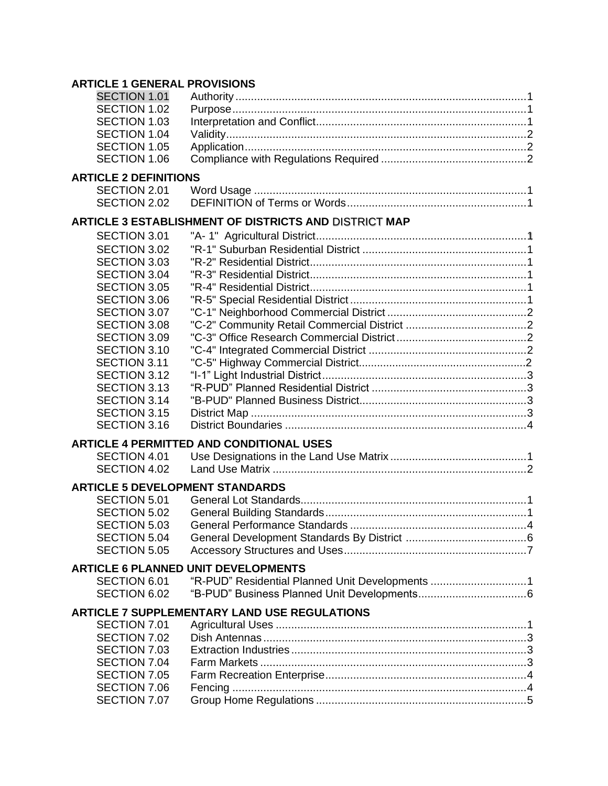## **ARTICLE 1 GENERAL PROVISIONS**

| SECTION 1.01                           |                                                       |  |
|----------------------------------------|-------------------------------------------------------|--|
| SECTION 1.02                           |                                                       |  |
| <b>SECTION 1.03</b>                    |                                                       |  |
| SECTION 1.04                           |                                                       |  |
| SECTION 1.05                           |                                                       |  |
| SECTION 1.06                           |                                                       |  |
| <b>ARTICLE 2 DEFINITIONS</b>           |                                                       |  |
| SECTION 2.01                           |                                                       |  |
| SECTION 2.02                           |                                                       |  |
|                                        |                                                       |  |
|                                        | ARTICLE 3 ESTABLISHMENT OF DISTRICTS AND DISTRICT MAP |  |
| SECTION 3.01                           |                                                       |  |
| SECTION 3.02                           |                                                       |  |
| <b>SECTION 3.03</b>                    |                                                       |  |
| SECTION 3.04                           |                                                       |  |
| SECTION 3.05                           |                                                       |  |
| <b>SECTION 3.06</b>                    |                                                       |  |
| SECTION 3.07                           |                                                       |  |
| <b>SECTION 3.08</b>                    |                                                       |  |
| <b>SECTION 3.09</b>                    |                                                       |  |
| SECTION 3.10                           |                                                       |  |
| SECTION 3.11                           |                                                       |  |
| SECTION 3.12                           |                                                       |  |
| SECTION 3.13                           |                                                       |  |
| SECTION 3.14                           |                                                       |  |
| SECTION 3.15                           |                                                       |  |
| <b>SECTION 3.16</b>                    |                                                       |  |
|                                        | <b>ARTICLE 4 PERMITTED AND CONDITIONAL USES</b>       |  |
| SECTION 4.01                           |                                                       |  |
| SECTION 4.02                           |                                                       |  |
|                                        |                                                       |  |
| <b>ARTICLE 5 DEVELOPMENT STANDARDS</b> |                                                       |  |
| SECTION 5.01                           |                                                       |  |
| SECTION 5.02                           |                                                       |  |
| SECTION 5.03                           |                                                       |  |
| SECTION 5.04                           |                                                       |  |
| <b>SECTION 5.05</b>                    |                                                       |  |
|                                        | <b>ARTICLE 6 PLANNED UNIT DEVELOPMENTS</b>            |  |
| SECTION 6.01                           | "R-PUD" Residential Planned Unit Developments 1       |  |
| SECTION 6.02                           |                                                       |  |
|                                        | <b>ARTICLE 7 SUPPLEMENTARY LAND USE REGULATIONS</b>   |  |
| SECTION 7.01                           |                                                       |  |
| SECTION 7.02                           |                                                       |  |
| SECTION 7.03                           |                                                       |  |
| SECTION 7.04                           |                                                       |  |
| SECTION 7.05                           |                                                       |  |
| SECTION 7.06                           |                                                       |  |
| SECTION 7.07                           |                                                       |  |
|                                        |                                                       |  |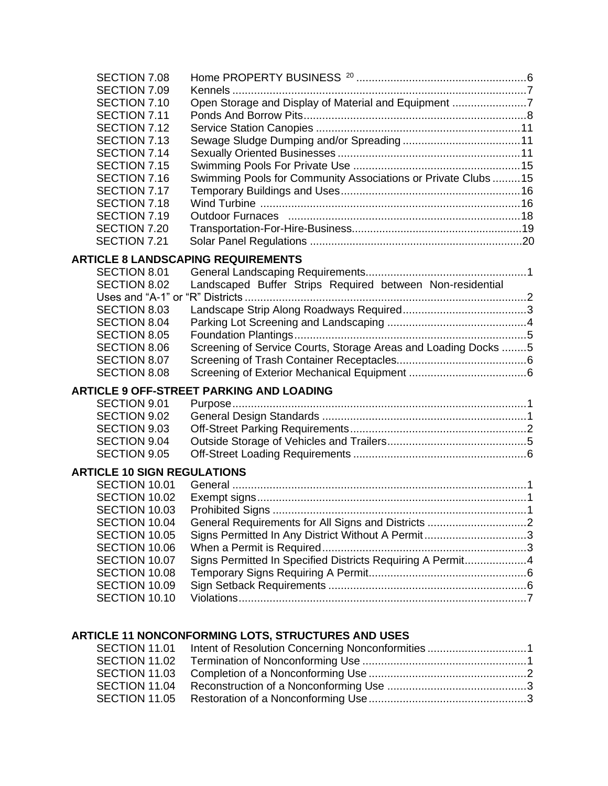| SECTION 7.08                               |                                                                |  |
|--------------------------------------------|----------------------------------------------------------------|--|
| SECTION 7.09                               |                                                                |  |
| SECTION 7.10                               | Open Storage and Display of Material and Equipment 7           |  |
| SECTION 7.11                               |                                                                |  |
| SECTION 7.12                               |                                                                |  |
| SECTION 7.13<br>SECTION 7.14               |                                                                |  |
| SECTION 7.15                               |                                                                |  |
| SECTION 7.16                               | Swimming Pools for Community Associations or Private Clubs  15 |  |
| SECTION 7.17                               |                                                                |  |
| SECTION 7.18                               |                                                                |  |
| SECTION 7.19                               |                                                                |  |
| SECTION 7.20                               |                                                                |  |
| SECTION 7.21                               |                                                                |  |
|                                            | <b>ARTICLE 8 LANDSCAPING REQUIREMENTS</b>                      |  |
| SECTION 8.01                               |                                                                |  |
| SECTION 8.02                               | Landscaped Buffer Strips Required between Non-residential      |  |
|                                            |                                                                |  |
| <b>SECTION 8.03</b>                        |                                                                |  |
| <b>SECTION 8.04</b>                        |                                                                |  |
| <b>SECTION 8.05</b><br><b>SECTION 8.06</b> | Screening of Service Courts, Storage Areas and Loading Docks 5 |  |
| <b>SECTION 8.07</b>                        |                                                                |  |
| <b>SECTION 8.08</b>                        |                                                                |  |
|                                            |                                                                |  |
| SECTION 9.01                               | <b>ARTICLE 9 OFF-STREET PARKING AND LOADING</b>                |  |
| <b>SECTION 9.02</b>                        |                                                                |  |
| SECTION 9.03                               |                                                                |  |
| <b>SECTION 9.04</b>                        |                                                                |  |
| <b>SECTION 9.05</b>                        |                                                                |  |
| <b>ARTICLE 10 SIGN REGULATIONS</b>         |                                                                |  |
| SECTION 10.01                              |                                                                |  |
| SECTION 10.02                              |                                                                |  |
| SECTION 10.03                              |                                                                |  |
| SECTION 10.04                              |                                                                |  |
| SECTION 10.05                              | Signs Permitted In Any District Without A Permit3              |  |
| SECTION 10.06                              |                                                                |  |
| SECTION 10.07                              | Signs Permitted In Specified Districts Requiring A Permit4     |  |
| SECTION 10.08                              |                                                                |  |
| SECTION 10.09                              |                                                                |  |
| SECTION 10.10                              |                                                                |  |
|                                            |                                                                |  |
|                                            | <b>ARTICLE 11 NONCONFORMING LOTS, STRUCTURES AND USES</b>      |  |
| SECTION 11.01                              |                                                                |  |
| SECTION 11.02                              |                                                                |  |
| SECTION 11.03                              |                                                                |  |

SECTION 11.04 Reconstruction of a Nonconforming Use .............................................3 SECTION 11.05 Restoration of a Nonconforming Use...................................................3